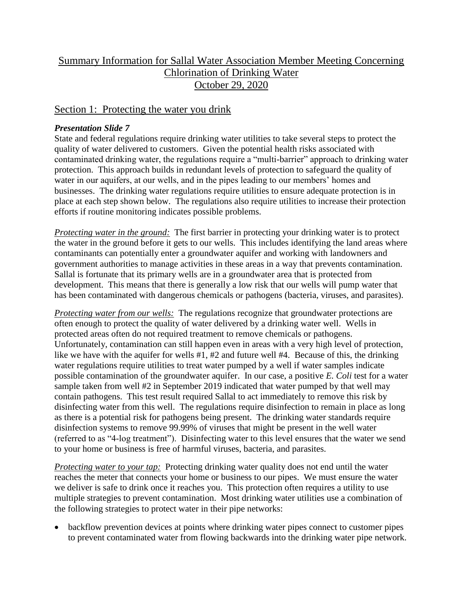# Summary Information for Sallal Water Association Member Meeting Concerning Chlorination of Drinking Water October 29, 2020

## Section 1: Protecting the water you drink

#### *Presentation Slide 7*

State and federal regulations require drinking water utilities to take several steps to protect the quality of water delivered to customers. Given the potential health risks associated with contaminated drinking water, the regulations require a "multi-barrier" approach to drinking water protection. This approach builds in redundant levels of protection to safeguard the quality of water in our aquifers, at our wells, and in the pipes leading to our members' homes and businesses. The drinking water regulations require utilities to ensure adequate protection is in place at each step shown below. The regulations also require utilities to increase their protection efforts if routine monitoring indicates possible problems.

*Protecting water in the ground:* The first barrier in protecting your drinking water is to protect the water in the ground before it gets to our wells. This includes identifying the land areas where contaminants can potentially enter a groundwater aquifer and working with landowners and government authorities to manage activities in these areas in a way that prevents contamination. Sallal is fortunate that its primary wells are in a groundwater area that is protected from development. This means that there is generally a low risk that our wells will pump water that has been contaminated with dangerous chemicals or pathogens (bacteria, viruses, and parasites).

*Protecting water from our wells:* The regulations recognize that groundwater protections are often enough to protect the quality of water delivered by a drinking water well. Wells in protected areas often do not required treatment to remove chemicals or pathogens. Unfortunately, contamination can still happen even in areas with a very high level of protection, like we have with the aquifer for wells #1, #2 and future well #4. Because of this, the drinking water regulations require utilities to treat water pumped by a well if water samples indicate possible contamination of the groundwater aquifer. In our case, a positive *E. Coli* test for a water sample taken from well #2 in September 2019 indicated that water pumped by that well may contain pathogens. This test result required Sallal to act immediately to remove this risk by disinfecting water from this well. The regulations require disinfection to remain in place as long as there is a potential risk for pathogens being present. The drinking water standards require disinfection systems to remove 99.99% of viruses that might be present in the well water (referred to as "4-log treatment"). Disinfecting water to this level ensures that the water we send to your home or business is free of harmful viruses, bacteria, and parasites.

*Protecting water to your tap:* Protecting drinking water quality does not end until the water reaches the meter that connects your home or business to our pipes. We must ensure the water we deliver is safe to drink once it reaches you. This protection often requires a utility to use multiple strategies to prevent contamination. Most drinking water utilities use a combination of the following strategies to protect water in their pipe networks:

 backflow prevention devices at points where drinking water pipes connect to customer pipes to prevent contaminated water from flowing backwards into the drinking water pipe network.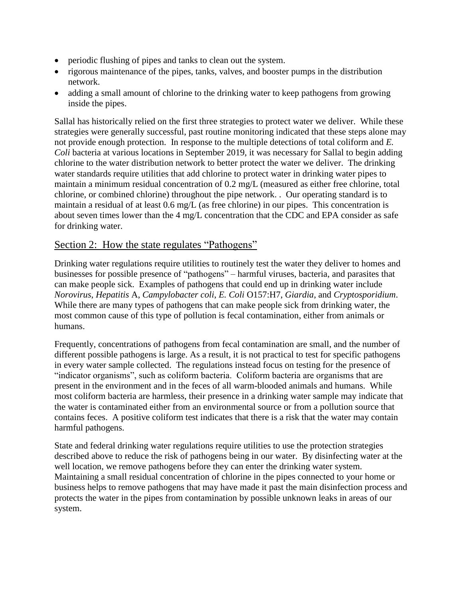- periodic flushing of pipes and tanks to clean out the system.
- rigorous maintenance of the pipes, tanks, valves, and booster pumps in the distribution network.
- adding a small amount of chlorine to the drinking water to keep pathogens from growing inside the pipes.

Sallal has historically relied on the first three strategies to protect water we deliver. While these strategies were generally successful, past routine monitoring indicated that these steps alone may not provide enough protection. In response to the multiple detections of total coliform and *E. Coli* bacteria at various locations in September 2019, it was necessary for Sallal to begin adding chlorine to the water distribution network to better protect the water we deliver. The drinking water standards require utilities that add chlorine to protect water in drinking water pipes to maintain a minimum residual concentration of 0.2 mg/L (measured as either free chlorine, total chlorine, or combined chlorine) throughout the pipe network. . Our operating standard is to maintain a residual of at least 0.6 mg/L (as free chlorine) in our pipes. This concentration is about seven times lower than the 4 mg/L concentration that the CDC and EPA consider as safe for drinking water.

### Section 2: How the state regulates "Pathogens"

Drinking water regulations require utilities to routinely test the water they deliver to homes and businesses for possible presence of "pathogens" – harmful viruses, bacteria, and parasites that can make people sick. Examples of pathogens that could end up in drinking water include *Norovirus*, *Hepatitis* A, *Campylobacter coli*, *E. Coli* O157:H7, *Giardia*, and *Cryptosporidium*. While there are many types of pathogens that can make people sick from drinking water, the most common cause of this type of pollution is fecal contamination, either from animals or humans.

Frequently, concentrations of pathogens from fecal contamination are small, and the number of different possible pathogens is large. As a result, it is not practical to test for specific pathogens in every water sample collected. The regulations instead focus on testing for the presence of "indicator organisms", such as coliform bacteria. Coliform bacteria are organisms that are present in the environment and in the feces of all warm-blooded animals and humans. While most coliform bacteria are harmless, their presence in a drinking water sample may indicate that the water is contaminated either from an environmental source or from a pollution source that contains feces. A positive coliform test indicates that there is a risk that the water may contain harmful pathogens.

State and federal drinking water regulations require utilities to use the protection strategies described above to reduce the risk of pathogens being in our water. By disinfecting water at the well location, we remove pathogens before they can enter the drinking water system. Maintaining a small residual concentration of chlorine in the pipes connected to your home or business helps to remove pathogens that may have made it past the main disinfection process and protects the water in the pipes from contamination by possible unknown leaks in areas of our system.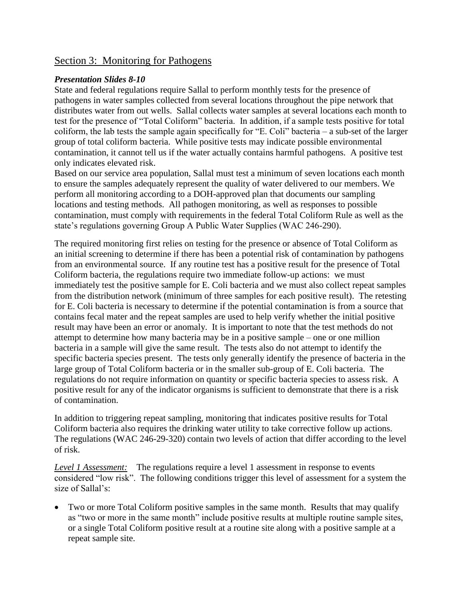## Section 3: Monitoring for Pathogens

#### *Presentation Slides 8-10*

State and federal regulations require Sallal to perform monthly tests for the presence of pathogens in water samples collected from several locations throughout the pipe network that distributes water from out wells. Sallal collects water samples at several locations each month to test for the presence of "Total Coliform" bacteria. In addition, if a sample tests positive for total coliform, the lab tests the sample again specifically for "E. Coli" bacteria – a sub-set of the larger group of total coliform bacteria. While positive tests may indicate possible environmental contamination, it cannot tell us if the water actually contains harmful pathogens. A positive test only indicates elevated risk.

Based on our service area population, Sallal must test a minimum of seven locations each month to ensure the samples adequately represent the quality of water delivered to our members. We perform all monitoring according to a DOH-approved plan that documents our sampling locations and testing methods. All pathogen monitoring, as well as responses to possible contamination, must comply with requirements in the federal Total Coliform Rule as well as the state's regulations governing Group A Public Water Supplies (WAC 246-290).

The required monitoring first relies on testing for the presence or absence of Total Coliform as an initial screening to determine if there has been a potential risk of contamination by pathogens from an environmental source. If any routine test has a positive result for the presence of Total Coliform bacteria, the regulations require two immediate follow-up actions: we must immediately test the positive sample for E. Coli bacteria and we must also collect repeat samples from the distribution network (minimum of three samples for each positive result). The retesting for E. Coli bacteria is necessary to determine if the potential contamination is from a source that contains fecal mater and the repeat samples are used to help verify whether the initial positive result may have been an error or anomaly. It is important to note that the test methods do not attempt to determine how many bacteria may be in a positive sample – one or one million bacteria in a sample will give the same result. The tests also do not attempt to identify the specific bacteria species present. The tests only generally identify the presence of bacteria in the large group of Total Coliform bacteria or in the smaller sub-group of E. Coli bacteria. The regulations do not require information on quantity or specific bacteria species to assess risk. A positive result for any of the indicator organisms is sufficient to demonstrate that there is a risk of contamination.

In addition to triggering repeat sampling, monitoring that indicates positive results for Total Coliform bacteria also requires the drinking water utility to take corrective follow up actions. The regulations (WAC 246-29-320) contain two levels of action that differ according to the level of risk.

*Level 1 Assessment:* The regulations require a level 1 assessment in response to events considered "low risk". The following conditions trigger this level of assessment for a system the size of Sallal's:

• Two or more Total Coliform positive samples in the same month. Results that may qualify as "two or more in the same month" include positive results at multiple routine sample sites, or a single Total Coliform positive result at a routine site along with a positive sample at a repeat sample site.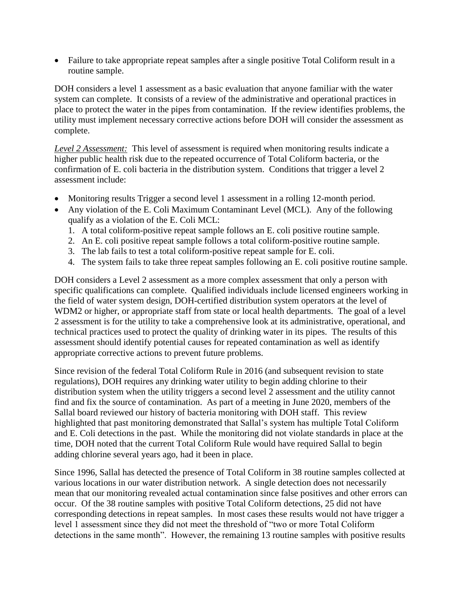• Failure to take appropriate repeat samples after a single positive Total Coliform result in a routine sample.

DOH considers a level 1 assessment as a basic evaluation that anyone familiar with the water system can complete. It consists of a review of the administrative and operational practices in place to protect the water in the pipes from contamination. If the review identifies problems, the utility must implement necessary corrective actions before DOH will consider the assessment as complete.

*Level 2 Assessment:* This level of assessment is required when monitoring results indicate a higher public health risk due to the repeated occurrence of Total Coliform bacteria, or the confirmation of E. coli bacteria in the distribution system. Conditions that trigger a level 2 assessment include:

- Monitoring results Trigger a second level 1 assessment in a rolling 12-month period.
- Any violation of the E. Coli Maximum Contaminant Level (MCL). Any of the following qualify as a violation of the E. Coli MCL:
	- 1. A total coliform-positive repeat sample follows an E. coli positive routine sample.
	- 2. An E. coli positive repeat sample follows a total coliform-positive routine sample.
	- 3. The lab fails to test a total coliform-positive repeat sample for E. coli.
	- 4. The system fails to take three repeat samples following an E. coli positive routine sample.

DOH considers a Level 2 assessment as a more complex assessment that only a person with specific qualifications can complete. Qualified individuals include licensed engineers working in the field of water system design, DOH-certified distribution system operators at the level of WDM2 or higher, or appropriate staff from state or local health departments. The goal of a level 2 assessment is for the utility to take a comprehensive look at its administrative, operational, and technical practices used to protect the quality of drinking water in its pipes. The results of this assessment should identify potential causes for repeated contamination as well as identify appropriate corrective actions to prevent future problems.

Since revision of the federal Total Coliform Rule in 2016 (and subsequent revision to state regulations), DOH requires any drinking water utility to begin adding chlorine to their distribution system when the utility triggers a second level 2 assessment and the utility cannot find and fix the source of contamination. As part of a meeting in June 2020, members of the Sallal board reviewed our history of bacteria monitoring with DOH staff. This review highlighted that past monitoring demonstrated that Sallal's system has multiple Total Coliform and E. Coli detections in the past. While the monitoring did not violate standards in place at the time, DOH noted that the current Total Coliform Rule would have required Sallal to begin adding chlorine several years ago, had it been in place.

Since 1996, Sallal has detected the presence of Total Coliform in 38 routine samples collected at various locations in our water distribution network. A single detection does not necessarily mean that our monitoring revealed actual contamination since false positives and other errors can occur. Of the 38 routine samples with positive Total Coliform detections, 25 did not have corresponding detections in repeat samples. In most cases these results would not have trigger a level 1 assessment since they did not meet the threshold of "two or more Total Coliform detections in the same month". However, the remaining 13 routine samples with positive results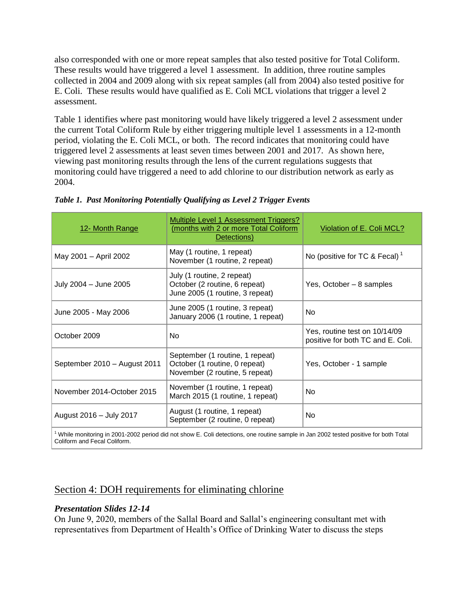also corresponded with one or more repeat samples that also tested positive for Total Coliform. These results would have triggered a level 1 assessment. In addition, three routine samples collected in 2004 and 2009 along with six repeat samples (all from 2004) also tested positive for E. Coli. These results would have qualified as E. Coli MCL violations that trigger a level 2 assessment.

Table 1 identifies where past monitoring would have likely triggered a level 2 assessment under the current Total Coliform Rule by either triggering multiple level 1 assessments in a 12-month period, violating the E. Coli MCL, or both. The record indicates that monitoring could have triggered level 2 assessments at least seven times between 2001 and 2017. As shown here, viewing past monitoring results through the lens of the current regulations suggests that monitoring could have triggered a need to add chlorine to our distribution network as early as 2004.

| 12- Month Range                                                                                                                                                     | <b>Multiple Level 1 Assessment Triggers?</b><br>(months with 2 or more Total Coliform<br>Detections) | Violation of E. Coli MCL?                                          |
|---------------------------------------------------------------------------------------------------------------------------------------------------------------------|------------------------------------------------------------------------------------------------------|--------------------------------------------------------------------|
| May 2001 - April 2002                                                                                                                                               | May (1 routine, 1 repeat)<br>November (1 routine, 2 repeat)                                          | No (positive for TC & Fecal) <sup>1</sup>                          |
| July 2004 - June 2005                                                                                                                                               | July (1 routine, 2 repeat)<br>October (2 routine, 6 repeat)<br>June 2005 (1 routine, 3 repeat)       | Yes, October - 8 samples                                           |
| June 2005 - May 2006                                                                                                                                                | June 2005 (1 routine, 3 repeat)<br>January 2006 (1 routine, 1 repeat)                                | No                                                                 |
| October 2009                                                                                                                                                        | No                                                                                                   | Yes, routine test on 10/14/09<br>positive for both TC and E. Coli. |
| September 2010 - August 2011                                                                                                                                        | September (1 routine, 1 repeat)<br>October (1 routine, 0 repeat)<br>November (2 routine, 5 repeat)   | Yes, October - 1 sample                                            |
| November 2014-October 2015                                                                                                                                          | November (1 routine, 1 repeat)<br>March 2015 (1 routine, 1 repeat)                                   | No                                                                 |
| August 2016 - July 2017                                                                                                                                             | August (1 routine, 1 repeat)<br>September (2 routine, 0 repeat)                                      | No                                                                 |
| While monitoring in 2001-2002 period did not show E. Coli detections, one routine sample in Jan 2002 tested positive for both Total<br>Coliform and Fecal Coliform. |                                                                                                      |                                                                    |

#### *Table 1. Past Monitoring Potentially Qualifying as Level 2 Trigger Events*

# Section 4: DOH requirements for eliminating chlorine

#### *Presentation Slides 12-14*

On June 9, 2020, members of the Sallal Board and Sallal's engineering consultant met with representatives from Department of Health's Office of Drinking Water to discuss the steps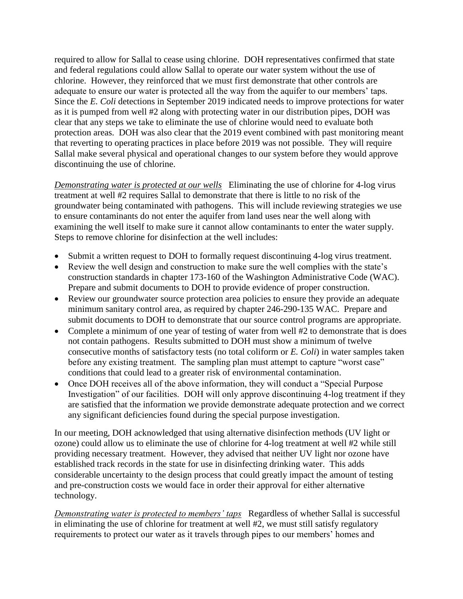required to allow for Sallal to cease using chlorine. DOH representatives confirmed that state and federal regulations could allow Sallal to operate our water system without the use of chlorine. However, they reinforced that we must first demonstrate that other controls are adequate to ensure our water is protected all the way from the aquifer to our members' taps. Since the *E. Coli* detections in September 2019 indicated needs to improve protections for water as it is pumped from well #2 along with protecting water in our distribution pipes, DOH was clear that any steps we take to eliminate the use of chlorine would need to evaluate both protection areas. DOH was also clear that the 2019 event combined with past monitoring meant that reverting to operating practices in place before 2019 was not possible. They will require Sallal make several physical and operational changes to our system before they would approve discontinuing the use of chlorine.

*Demonstrating water is protected at our wells* Eliminating the use of chlorine for 4-log virus treatment at well #2 requires Sallal to demonstrate that there is little to no risk of the groundwater being contaminated with pathogens. This will include reviewing strategies we use to ensure contaminants do not enter the aquifer from land uses near the well along with examining the well itself to make sure it cannot allow contaminants to enter the water supply. Steps to remove chlorine for disinfection at the well includes:

- Submit a written request to DOH to formally request discontinuing 4-log virus treatment.
- Review the well design and construction to make sure the well complies with the state's construction standards in chapter 173-160 of the Washington Administrative Code (WAC). Prepare and submit documents to DOH to provide evidence of proper construction.
- Review our groundwater source protection area policies to ensure they provide an adequate minimum sanitary control area, as required by chapter 246-290-135 WAC. Prepare and submit documents to DOH to demonstrate that our source control programs are appropriate.
- Complete a minimum of one year of testing of water from well #2 to demonstrate that is does not contain pathogens. Results submitted to DOH must show a minimum of twelve consecutive months of satisfactory tests (no total coliform or *E. Coli*) in water samples taken before any existing treatment. The sampling plan must attempt to capture "worst case" conditions that could lead to a greater risk of environmental contamination.
- Once DOH receives all of the above information, they will conduct a "Special Purpose" Investigation" of our facilities. DOH will only approve discontinuing 4-log treatment if they are satisfied that the information we provide demonstrate adequate protection and we correct any significant deficiencies found during the special purpose investigation.

In our meeting, DOH acknowledged that using alternative disinfection methods (UV light or ozone) could allow us to eliminate the use of chlorine for 4-log treatment at well #2 while still providing necessary treatment. However, they advised that neither UV light nor ozone have established track records in the state for use in disinfecting drinking water. This adds considerable uncertainty to the design process that could greatly impact the amount of testing and pre-construction costs we would face in order their approval for either alternative technology.

*Demonstrating water is protected to members' taps* Regardless of whether Sallal is successful in eliminating the use of chlorine for treatment at well #2, we must still satisfy regulatory requirements to protect our water as it travels through pipes to our members' homes and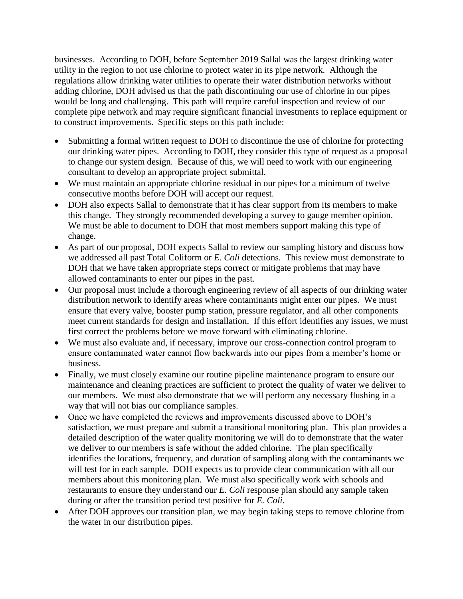businesses. According to DOH, before September 2019 Sallal was the largest drinking water utility in the region to not use chlorine to protect water in its pipe network. Although the regulations allow drinking water utilities to operate their water distribution networks without adding chlorine, DOH advised us that the path discontinuing our use of chlorine in our pipes would be long and challenging. This path will require careful inspection and review of our complete pipe network and may require significant financial investments to replace equipment or to construct improvements. Specific steps on this path include:

- Submitting a formal written request to DOH to discontinue the use of chlorine for protecting our drinking water pipes. According to DOH, they consider this type of request as a proposal to change our system design. Because of this, we will need to work with our engineering consultant to develop an appropriate project submittal.
- We must maintain an appropriate chlorine residual in our pipes for a minimum of twelve consecutive months before DOH will accept our request.
- DOH also expects Sallal to demonstrate that it has clear support from its members to make this change. They strongly recommended developing a survey to gauge member opinion. We must be able to document to DOH that most members support making this type of change.
- As part of our proposal, DOH expects Sallal to review our sampling history and discuss how we addressed all past Total Coliform or *E. Coli* detections. This review must demonstrate to DOH that we have taken appropriate steps correct or mitigate problems that may have allowed contaminants to enter our pipes in the past.
- Our proposal must include a thorough engineering review of all aspects of our drinking water distribution network to identify areas where contaminants might enter our pipes. We must ensure that every valve, booster pump station, pressure regulator, and all other components meet current standards for design and installation. If this effort identifies any issues, we must first correct the problems before we move forward with eliminating chlorine.
- We must also evaluate and, if necessary, improve our cross-connection control program to ensure contaminated water cannot flow backwards into our pipes from a member's home or business.
- Finally, we must closely examine our routine pipeline maintenance program to ensure our maintenance and cleaning practices are sufficient to protect the quality of water we deliver to our members. We must also demonstrate that we will perform any necessary flushing in a way that will not bias our compliance samples.
- Once we have completed the reviews and improvements discussed above to DOH's satisfaction, we must prepare and submit a transitional monitoring plan. This plan provides a detailed description of the water quality monitoring we will do to demonstrate that the water we deliver to our members is safe without the added chlorine. The plan specifically identifies the locations, frequency, and duration of sampling along with the contaminants we will test for in each sample. DOH expects us to provide clear communication with all our members about this monitoring plan. We must also specifically work with schools and restaurants to ensure they understand our *E. Coli* response plan should any sample taken during or after the transition period test positive for *E. Coli*.
- After DOH approves our transition plan, we may begin taking steps to remove chlorine from the water in our distribution pipes.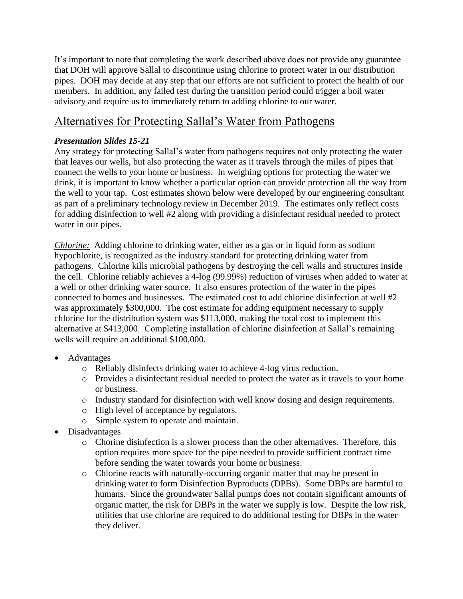It's important to note that completing the work described above does not provide any guarantee that DOH will approve Sallal to discontinue using chlorine to protect water in our distribution pipes. DOH may decide at any step that our efforts are not sufficient to protect the health of our members. In addition, any failed test during the transition period could trigger a boil water advisory and require us to immediately return to adding chlorine to our water.

# Alternatives for Protecting Sallal's Water from Pathogens

## *Presentation Slides 15-21*

Any strategy for protecting Sallal's water from pathogens requires not only protecting the water that leaves our wells, but also protecting the water as it travels through the miles of pipes that connect the wells to your home or business. In weighing options for protecting the water we drink, it is important to know whether a particular option can provide protection all the way from the well to your tap. Cost estimates shown below were developed by our engineering consultant as part of a preliminary technology review in December 2019. The estimates only reflect costs for adding disinfection to well #2 along with providing a disinfectant residual needed to protect water in our pipes.

*Chlorine:* Adding chlorine to drinking water, either as a gas or in liquid form as sodium hypochlorite, is recognized as the industry standard for protecting drinking water from pathogens. Chlorine kills microbial pathogens by destroying the cell walls and structures inside the cell. Chlorine reliably achieves a 4-log (99.99%) reduction of viruses when added to water at a well or other drinking water source. It also ensures protection of the water in the pipes connected to homes and businesses. The estimated cost to add chlorine disinfection at well #2 was approximately \$300,000. The cost estimate for adding equipment necessary to supply chlorine for the distribution system was \$113,000, making the total cost to implement this alternative at \$413,000. Completing installation of chlorine disinfection at Sallal's remaining wells will require an additional \$100,000.

- Advantages
	- o Reliably disinfects drinking water to achieve 4-log virus reduction.
	- o Provides a disinfectant residual needed to protect the water as it travels to your home or business.
	- o Industry standard for disinfection with well know dosing and design requirements.
	- o High level of acceptance by regulators.
	- o Simple system to operate and maintain.
- Disadvantages
	- o Chorine disinfection is a slower process than the other alternatives. Therefore, this option requires more space for the pipe needed to provide sufficient contract time before sending the water towards your home or business.
	- o Chlorine reacts with naturally-occurring organic matter that may be present in drinking water to form Disinfection Byproducts (DPBs). Some DBPs are harmful to humans. Since the groundwater Sallal pumps does not contain significant amounts of organic matter, the risk for DBPs in the water we supply is low. Despite the low risk, utilities that use chlorine are required to do additional testing for DBPs in the water they deliver.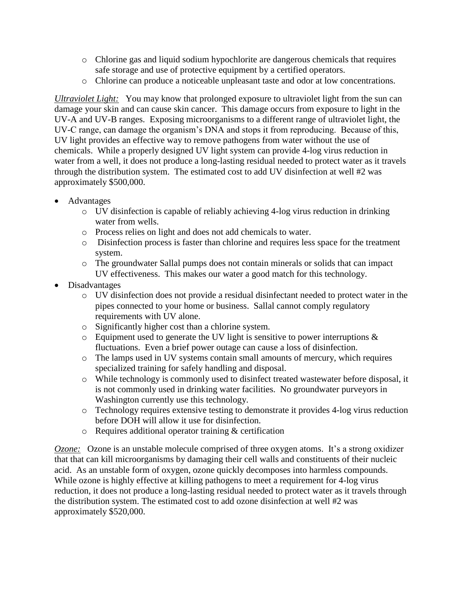- o Chlorine gas and liquid sodium hypochlorite are dangerous chemicals that requires safe storage and use of protective equipment by a certified operators.
- o Chlorine can produce a noticeable unpleasant taste and odor at low concentrations.

*Ultraviolet Light:* You may know that prolonged exposure to ultraviolet light from the sun can damage your skin and can cause skin cancer. This damage occurs from exposure to light in the UV-A and UV-B ranges. Exposing microorganisms to a different range of ultraviolet light, the UV-C range, can damage the organism's DNA and stops it from reproducing. Because of this, UV light provides an effective way to remove pathogens from water without the use of chemicals. While a properly designed UV light system can provide 4-log virus reduction in water from a well, it does not produce a long-lasting residual needed to protect water as it travels through the distribution system. The estimated cost to add UV disinfection at well #2 was approximately \$500,000.

- Advantages
	- o UV disinfection is capable of reliably achieving 4-log virus reduction in drinking water from wells.
	- o Process relies on light and does not add chemicals to water.
	- o Disinfection process is faster than chlorine and requires less space for the treatment system.
	- o The groundwater Sallal pumps does not contain minerals or solids that can impact UV effectiveness. This makes our water a good match for this technology.
- Disadvantages
	- o UV disinfection does not provide a residual disinfectant needed to protect water in the pipes connected to your home or business. Sallal cannot comply regulatory requirements with UV alone.
	- o Significantly higher cost than a chlorine system.
	- $\circ$  Equipment used to generate the UV light is sensitive to power interruptions & fluctuations. Even a brief power outage can cause a loss of disinfection.
	- o The lamps used in UV systems contain small amounts of mercury, which requires specialized training for safely handling and disposal.
	- o While technology is commonly used to disinfect treated wastewater before disposal, it is not commonly used in drinking water facilities. No groundwater purveyors in Washington currently use this technology.
	- o Technology requires extensive testing to demonstrate it provides 4-log virus reduction before DOH will allow it use for disinfection.
	- o Requires additional operator training & certification

*Ozone:* Ozone is an unstable molecule comprised of three oxygen atoms. It's a strong oxidizer that that can kill microorganisms by damaging their cell walls and constituents of their nucleic acid. As an unstable form of oxygen, ozone quickly decomposes into harmless compounds. While ozone is highly effective at killing pathogens to meet a requirement for 4-log virus reduction, it does not produce a long-lasting residual needed to protect water as it travels through the distribution system. The estimated cost to add ozone disinfection at well #2 was approximately \$520,000.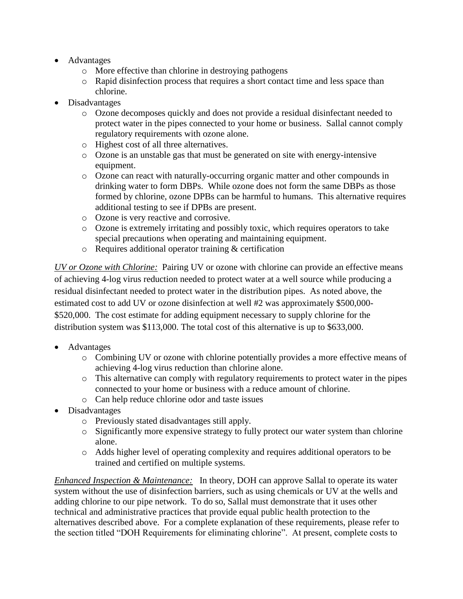- Advantages
	- o More effective than chlorine in destroying pathogens
	- o Rapid disinfection process that requires a short contact time and less space than chlorine.
- Disadvantages
	- o Ozone decomposes quickly and does not provide a residual disinfectant needed to protect water in the pipes connected to your home or business. Sallal cannot comply regulatory requirements with ozone alone.
	- o Highest cost of all three alternatives.
	- o Ozone is an unstable gas that must be generated on site with energy-intensive equipment.
	- o Ozone can react with naturally-occurring organic matter and other compounds in drinking water to form DBPs. While ozone does not form the same DBPs as those formed by chlorine, ozone DPBs can be harmful to humans. This alternative requires additional testing to see if DPBs are present.
	- o Ozone is very reactive and corrosive.
	- o Ozone is extremely irritating and possibly toxic, which requires operators to take special precautions when operating and maintaining equipment.
	- o Requires additional operator training & certification

*UV or Ozone with Chlorine:* Pairing UV or ozone with chlorine can provide an effective means of achieving 4-log virus reduction needed to protect water at a well source while producing a residual disinfectant needed to protect water in the distribution pipes. As noted above, the estimated cost to add UV or ozone disinfection at well #2 was approximately \$500,000- \$520,000. The cost estimate for adding equipment necessary to supply chlorine for the distribution system was \$113,000. The total cost of this alternative is up to \$633,000.

- Advantages
	- o Combining UV or ozone with chlorine potentially provides a more effective means of achieving 4-log virus reduction than chlorine alone.
	- o This alternative can comply with regulatory requirements to protect water in the pipes connected to your home or business with a reduce amount of chlorine.
	- o Can help reduce chlorine odor and taste issues
- Disadvantages
	- o Previously stated disadvantages still apply.
	- o Significantly more expensive strategy to fully protect our water system than chlorine alone.
	- o Adds higher level of operating complexity and requires additional operators to be trained and certified on multiple systems.

*Enhanced Inspection & Maintenance:* In theory, DOH can approve Sallal to operate its water system without the use of disinfection barriers, such as using chemicals or UV at the wells and adding chlorine to our pipe network. To do so, Sallal must demonstrate that it uses other technical and administrative practices that provide equal public health protection to the alternatives described above. For a complete explanation of these requirements, please refer to the section titled "DOH Requirements for eliminating chlorine". At present, complete costs to